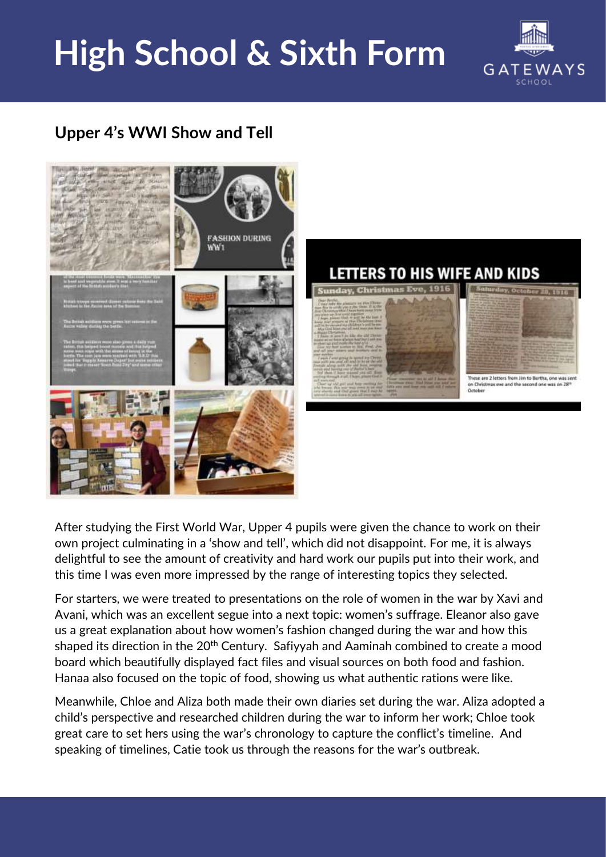## **High School & Sixth Form**



## **Upper 4's WWI Show and Tell**



After studying the First World War, Upper 4 pupils were given the chance to work on their own project culminating in a 'show and tell', which did not disappoint. For me, it is always delightful to see the amount of creativity and hard work our pupils put into their work, and this time I was even more impressed by the range of interesting topics they selected.

For starters, we were treated to presentations on the role of women in the war by Xavi and Avani, which was an excellent segue into a next topic: women's suffrage. Eleanor also gave us a great explanation about how women's fashion changed during the war and how this shaped its direction in the 20<sup>th</sup> Century. Safiyyah and Aaminah combined to create a mood board which beautifully displayed fact files and visual sources on both food and fashion. Hanaa also focused on the topic of food, showing us what authentic rations were like.

Meanwhile, Chloe and Aliza both made their own diaries set during the war. Aliza adopted a child's perspective and researched children during the war to inform her work; Chloe took great care to set hers using the war's chronology to capture the conflict's timeline. And speaking of timelines, Catie took us through the reasons for the war's outbreak.